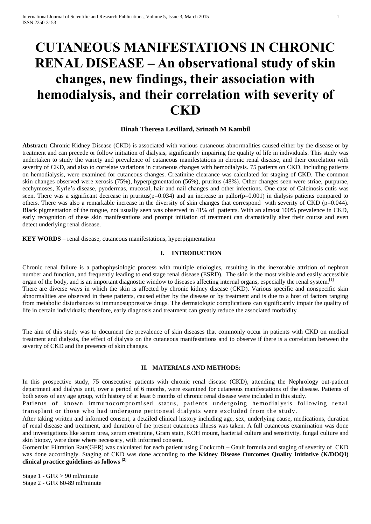# **CUTANEOUS MANIFESTATIONS IN CHRONIC RENAL DISEASE – An observational study of skin changes, new findings, their association with hemodialysis, and their correlation with severity of CKD**

## **Dinah Theresa Levillard, Srinath M Kambil**

**Abstract:** Chronic Kidney Disease (CKD) is associated with various cutaneous abnormalities caused either by the disease or by treatment and can precede or follow initiation of dialysis, significantly impairing the quality of life in individuals. This study was undertaken to study the variety and prevalence of cutaneous manifestations in chronic renal disease, and their correlation with severity of CKD, and also to correlate variations in cutaneous changes with hemodialysis. 75 patients on CKD, including patients on hemodialysis, were examined for cutaneous changes. Creatinine clearance was calculated for staging of CKD. The common skin changes observed were xerosis (75%), hyperpigmentation (56%), pruritus (48%). Other changes seen were striae, purpurae, ecchymoses, Kyrle's disease, pyodermas, mucosal, hair and nail changes and other infections. One case of Calcinosis cutis was seen. There was a significant decrease in pruritus( $p=0.034$ ) and an increase in pallor( $p=0.001$ ) in dialysis patients compared to others. There was also a remarkable increase in the diversity of skin changes that correspond with severity of CKD (p=0.044). Black pigmentation of the tongue, not usually seen was observed in 41% of patients. With an almost 100% prevalence in CKD, early recognition of these skin manifestations and prompt initiation of treatment can dramatically alter their course and even detect underlying renal disease.

**KEY WORDS** – renal disease, cutaneous manifestations, hyperpigmentation

## **I. INTRODUCTION**

Chronic renal failure is a pathophysiologic process with multiple etiologies, resulting in the inexorable attrition of nephron number and function, and frequently leading to end stage renal disease (ESRD). The skin is the most visible and easily accessible organ of the body, and is an important diagnostic window to diseases affecting internal organs, especially the renal system.<sup>[1]</sup> There are diverse ways in which the skin is affected by chronic kidney disease (CKD). Various specific and nonspecific skin abnormalities are observed in these patients, caused either by the disease or by treatment and is due to a host of factors ranging from metabolic disturbances to immunosuppressive drugs. The dermatologic complications can significantly impair the quality of life in certain individuals; therefore, early diagnosis and treatment can greatly reduce the associated morbidity .

The aim of this study was to document the prevalence of skin diseases that commonly occur in patients with CKD on medical treatment and dialysis, the effect of dialysis on the cutaneous manifestations and to observe if there is a correlation between the severity of CKD and the presence of skin changes.

## **II. MATERIALS AND METHODS:**

In this prospective study, 75 consecutive patients with chronic renal disease (CKD), attending the Nephrology out-patient department and dialysis unit, over a period of 6 months, were examined for cutaneous manifestations of the disease. Patients of both sexes of any age group, with history of at least 6 months of chronic renal disease were included in this study.

Patients of known immunocompromised status, patients undergoing hemodialysis following renal transplant or those who had undergone peritoneal dialysis were excluded from the study.

After taking written and informed consent, a detailed clinical history including age, sex, underlying cause, medications, duration of renal disease and treatment, and duration of the present cutaneous illness was taken. A full cutaneous examination was done and investigations like serum urea, serum creatinine, Gram stain, KOH mount, bacterial culture and sensitivity, fungal culture and skin biopsy, were done where necessary, with informed consent.

Gomerular Filtration Rate(GFR) was calculated for each patient using Cockcroft – Gault formula and staging of severity of CKD was done accordingly. Staging of CKD was done according to **the Kidney Disease Outcomes Quality Initiative (K/DOQI) clinical practice guidelines as follows [2]**

Stage 1 - GFR > 90 ml/minute Stage 2 - GFR 60-89 ml/minute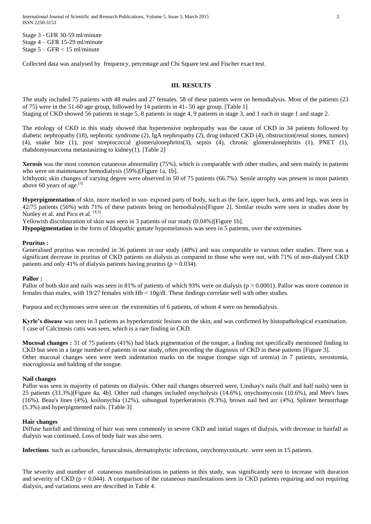International Journal of Scientific and Research Publications, Volume 5, Issue 3, March 2015 2 ISSN 2250-3153

Stage 3 - GFR 30-59 ml/minute Stage 4 – GFR 15-29 ml/minute Stage 5 – GFR < 15 ml/minute

Collected data was analysed by frequency, percentage and Chi Square test and Fischer exact test.

## **III. RESULTS**

The study included 75 patients with 48 males and 27 females. 58 of these patients were on hemodialysis. Most of the patients (23 of 75) were in the 51-60 age group, followed by 14 patients in 41- 50 age group. [Table 1]

Staging of CKD showed 56 patients in stage 5, 8 patients in stage 4, 9 patients in stage 3, and 1 each in stage 1 and stage 2.

The etiology of CKD in this study showed that hypertensive nephropathy was the cause of CKD in 34 patients followed by diabetic nephropathy (18), nephrotic syndrome (2), IgA nephropathy (2), drug induced CKD (4), obstruction(renal stones, tumors) (4), snake bite (1), post streptococcal glomerulonephritis(3), sepsis (4), chronic glomerulonephritis (1), PNET (1), rhabdomyosarcoma metastasizing to kidney(1). [Table 2]

**Xerosis** was the most common cutaneous abnormality (75%), which is comparable with other studies, and seen mainly in patients who were on maintenance hemodialysis (59%)[Figure 1a, 1b].

lchthyotic skin changes of varying degree were observed in 50 of 75 patients (66.7%). Senile atrophy was present in most patients above 60 years of age. $^{[3]}$ 

**Hyperpigmentation** of skin, more marked in sun- exposed parts of body, such as the face, upper back, arms and legs, was seen in 42/75 patients (56%) with 71% of these patients being on hemodialysis[Figure 2]. Similar results were seen in studies done by Nunley et al. and Pico et al. [4,5]

Yellowish discolouration of skin was seen in 3 patients of our study (0.04%)[Figure 1b].

**Hypopigmentation** in the form of Idiopathic guttate hypomelanosis was seen in 5 patients, over the extremities.

## **Pruritus :**

Generalised pruritus was recorded in 36 patients in our study (48%) and was comparable to various other studies. There was a significant decrease in pruritus of CKD patients on dialysis as compared to those who were not, with 71% of non-dialysed CKD patients and only 41% of dialysis patients having pruritus ( $p = 0.034$ ).

## **Pallor :**

Pallor of both skin and nails was seen in 81% of patients of which 93% were on dialysis ( $p = 0.0001$ ). Pallor was more common in females than males, with 19/27 females with Hb < 10g/dl. These findings correlate well with other studies.

Purpura and ecchymoses were seen on the extremities of 6 patients, of whom 4 were on hemodialysis.

**Kyrle's disease** was seen in 3 patients as hyperkeratotic lesions on the skin, and was confirmed by histopathological examination. 1 case of Calcinosis cutis was seen, which is a rare finding in CKD.

**Mucosal changes :** 31 of 75 patients (41%) had black pigmentation of the tongue, a finding not specifically mentioned finding in CKD but seen in a large number of patients in our study, often preceding the diagnosis of CKD in these patients [Figure 3]. Other mucosal changes seen were teeth indentation marks on the tongue (tongue sign of uremia) in 7 patients, xerostomia, macroglossia and balding of the tongue.

## **Nail changes**

Pallor was seen in majority of patients on dialysis. Other nail changes observed were, Lindsay's nails (half and half nails) seen in 25 patients (33.3%)[Figure 4a, 4b]. Other nail changes included onycholysis (14.6%), onychomycosis (10.6%), and Mee's lines (16%). Beau's lines (4%), koilonychia (12%), subungual hyperkeratosis (9.3%), brown nail bed arc (4%), Splinter hemorrhage (5.3%) and hyperpigmented nails. [Table 3]

## **Hair changes**

Diffuse hairfall and thinning of hair was seen commonly in severe CKD and initial stages of dialysis, with decrease in hairfall as dialysis was continued. Loss of body hair was also seen.

**Infections** such as carbuncles, furunculosis, dermatophytic infections, onychomycosis,etc. were seen in 15 patients.

The severity and number of cutaneous manifestations in patients in this study, was significantly seen to increase with duration and severity of CKD ( $p = 0.044$ ). A comparison of the cutaneous manifestations seen in CKD patients requiring and not requiring dialysis, and variations seen are described in Table 4.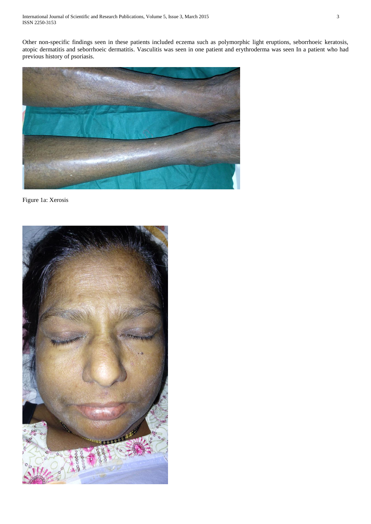Other non-specific findings seen in these patients included eczema such as polymorphic light eruptions, seborrhoeic keratosis, atopic dermatitis and seborrhoeic dermatitis. Vasculitis was seen in one patient and erythroderma was seen In a patient who had previous history of psoriasis.



Figure 1a: Xerosis

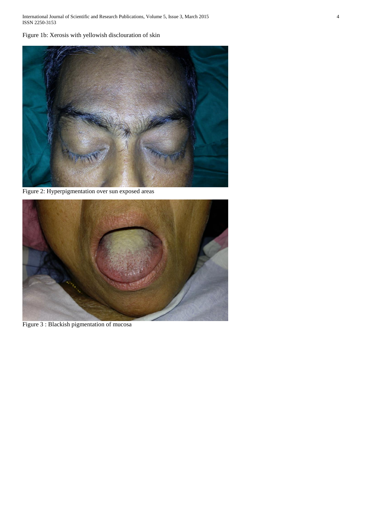International Journal of Scientific and Research Publications, Volume 5, Issue 3, March 2015 4 ISSN 2250-3153

Figure 1b: Xerosis with yellowish disclouration of skin



Figure 2: Hyperpigmentation over sun exposed areas



Figure 3 : Blackish pigmentation of mucosa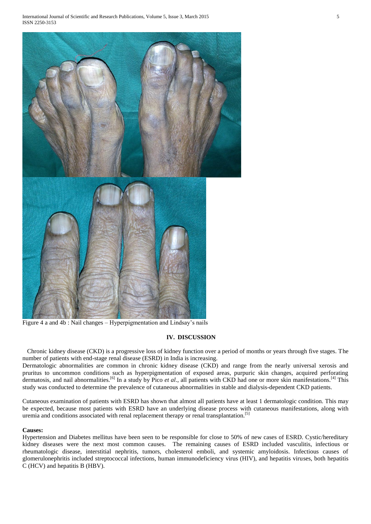

Figure 4 a and 4b : Nail changes – Hyperpigmentation and Lindsay's nails

# **IV. DISCUSSION**

 Chronic kidney disease (CKD) is a progressive loss of kidney function over a period of months or years through five stages. The number of patients with end-stage renal disease (ESRD) in India is increasing.

Dermatologic abnormalities are common in chronic kidney disease (CKD) and range from the nearly universal xerosis and pruritus to uncommon conditions such as hyperpigmentation of exposed areas, purpuric skin changes, acquired perforating dermatosis, and nail abnormalities.<sup>[6]</sup> In a study by Pico *et al.*, all patients with CKD had one or more skin manifestations.<sup>[4]</sup> This study was conducted to determine the prevalence of cutaneous abnormalities in stable and dialysis-dependent CKD patients.

Cutaneous examination of patients with ESRD has shown that almost all patients have at least 1 dermatologic condition. This may be expected, because most patients with ESRD have an underlying disease process with cutaneous manifestations, along with uremia and conditions associated with renal replacement therapy or renal transplantation.[5]

## **Causes:**

Hypertension and Diabetes mellitus have been seen to be responsible for close to 50% of new cases of ESRD. Cystic/hereditary kidney diseases were the next most common causes. The remaining causes of ESRD included vasculitis, infectious or rheumatologic disease, interstitial nephritis, tumors, cholesterol emboli, and systemic amyloidosis. Infectious causes of glomerulonephritis included streptococcal infections, human immunodeficiency virus (HIV), and hepatitis viruses, both hepatitis C (HCV) and hepatitis B (HBV).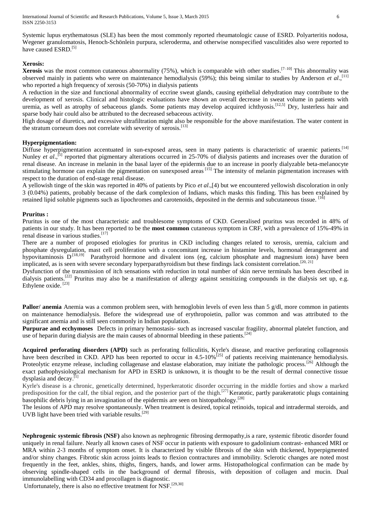Systemic lupus erythematosus (SLE) has been the most commonly reported rheumatologic cause of ESRD. Polyarteritis nodosa, Wegener granulomatosis, Henoch-Schönlein purpura, scleroderma, and otherwise nonspecified vasculitides also were reported to have caused ESRD.<sup>[5]</sup>

## **Xerosis:**

**Xerosis** was the most common cutaneous abnormality (75%), which is comparable with other studies.<sup>[7–10]</sup> This abnormality was observed mainly in patients who were on maintenance hemodialysis (59%); this being similar to studies by Anderson *et al*., [11] who reported a high frequency of xerosis (50-70%) in dialysis patients

A reduction in the size and functional abnormality of eccrine sweat glands, causing epithelial dehydration may contribute to the development of xerosis. Clinical and histologic evaluations have shown an overall decrease in sweat volume in patients with uremia, as well as atrophy of sebaceous glands. Some patients may develop acquired ichthyosis.<sup>[12,5]</sup> Dry, lusterless hair and sparse body hair could also be attributed to the decreased sebaceous activity.

High dosage of diuretics, and excessive ultrafiltration might also be responsible for the above manifestation. The water content in the stratum corneum does not correlate with severity of xerosis.<sup>[13]</sup>

## **Hyperpigmentation:**

Diffuse hyperpigmentation accentuated in sun-exposed areas, seen in many patients is characteristic of uraemic patients.<sup>[14]</sup> Nunley *et al.*,<sup>[5]</sup> reported that pigmentary alterations occurred in 25-70% of dialysis patients and increases over the duration of renal disease. An increase in melanin in the basal layer of the epidermis due to an increase in poorly dialyzable beta-melanocyte stimulating hormone can explain the pigmentation on sunexposed areas <sup>[15]</sup> The intensity of melanin pigmentation increases with respect to the duration of end-stage renal disease.

A yellowish tinge of the skin was reported in 40% of patients by Pico *et al*.,[4) but we encountered yellowish discoloration in only 3 (0.04%) patients, probably because of the dark complexion of Indians, which masks this finding. This has been explained by retained lipid soluble pigments such as lipochromes and carotenoids, deposited in the dermis and subcutaneous tissue. <sup>[16]</sup>

## **Pruritus :**

Pruritus is one of the most characteristic and troublesome symptoms of CKD. Generalised pruritus was recorded in 48% of patients in our study. It has been reported to be the **most common** cutaneous symptom in CRF, with a prevalence of 15%-49% in renal disease in various studies.<sup>[17]</sup>

There are a number of proposed etiologies for pruritus in CKD including changes related to xerosis, uremia, calcium and phosphate dysregulation, mast cell proliferation with a concomitant increase in histamine levels, hormonal derangement and hypovitaminosis D<sup>[18,19]</sup> Parathyroid hormone and divalent ions (eg, calcium phosphate and magnesium ions) have been implicated, as is seen with severe secondary hyperparathyroidism but these findings lack consistent correlation.<sup>[20, 21]</sup>

Dysfunction of the transmission of itch sensations with reduction in total number of skin nerve terminals has been described in dialysis patients.<sup>[22]</sup> Pruritus may also be a manifestation of allergy against sensitizing compounds in the dialysis set up, e.g. Ethylene oxide.<sup>[23]</sup>

**Pallor**/ **anemia** Anemia was a common problem seen, with hemoglobin levels of even less than 5 g/dl, more common in patients on maintenance hemodialysis. Before the widespread use of erythropoietin, pallor was common and was attributed to the significant anemia and is still seen commonly in Indian population.

**Purpurae and ecchymoses** Defects in primary hemostasis- such as increased vascular fragility, abnormal platelet function, and use of heparin during dialysis are the main causes of abnormal bleeding in these patients.<sup>[24]</sup>

**Acquired perforating disorders (APD)** such as perforating folliculitis, Kyrle's disease, and reactive perforating collagenosis have been described in CKD. APD has been reported to occur in  $4.5{\text -}10\%$ <sup>[25]</sup> of patients receiving maintenance hemodialysis. Proteolytic enzyme release, including collagenase and elastase elaboration, may initiate the pathologic process.<sup>[26]</sup> Although the exact pathophysiological mechanism for APD in ESRD is unknown, it is thought to be the result of dermal connective tissue dysplasia and decay.<sup>[1]</sup>

Kyrle's disease is a chronic, genetically determined, hyperkeratotic disorder occurring in the middle forties and show a marked predisposition for the calf, the tibial region, and the posterior part of the thigh.<sup>[27]</sup> Keratotic, partly parakeratotic plugs containing basophilic debris lying in an invagination of the epidermis are seen on histopathology.<sup>[28]</sup>

The lesions of APD may resolve spontaneously. When treatment is desired, topical retinoids, topical and intradermal steroids, and UVB light have been tried with variable results.<sup>[29]</sup>

**Nephrogenic systemic fibrosis (NSF)** also known as nephrogenic fibrosing dermopathy,is a rare, systemic fibrotic disorder found uniquely in renal failure. Nearly all known cases of NSF occur in patients with exposure to gadolinium contrast- enhanced MRI or MRA within 2-3 months of symptom onset. It is characterized by visible fibrosis of the skin with thickened, hyperpigmented and/or shiny changes. Fibrotic skin across joints leads to flexion contractures and immobility. Sclerotic changes are noted most frequently in the feet, ankles, shins, thighs, fingers, hands, and lower arms. Histopathological confirmation can be made by observing spindle-shaped cells in the background of dermal fibrosis, with deposition of collagen and mucin. Dual immunolabelling with CD34 and procollagen is diagnostic.

Unfortunately, there is also no effective treatment for NSF.<sup>[29,30]</sup>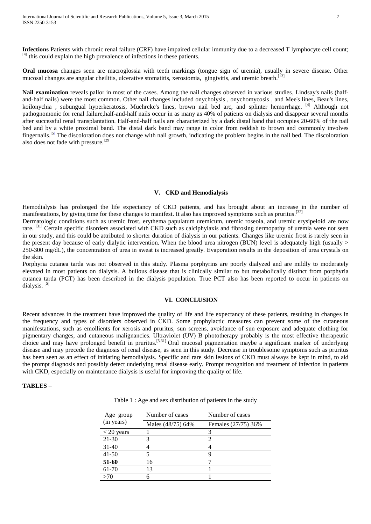**Infections** Patients with chronic renal failure (CRF) have impaired cellular immunity due to a decreased T lymphocyte cell count;  $[4]$  this could explain the high prevalence of infections in these patients.

**Oral mucosa** changes seen are macroglossia with teeth markings (tongue sign of uremia), usually in severe disease. Other mucosal changes are angular cheilitis, ulcerative stomatitis, xerostomia, gingivitis, and uremic breath.<sup>[13]</sup>

Nail examination reveals pallor in most of the cases. Among the nail changes observed in various studies, Lindsay's nails (halfand-half nails) were the most common. Other nail changes included onycholysis , onychomycosis , and Mee's lines, Beau's lines, koilonychia , subungual hyperkeratosis, Muehrcke's lines, brown nail bed arc, and splinter hemorrhage. [4] Although not pathognomonic for renal failure,half-and-half nails occur in as many as 40% of patients on dialysis and disappear several months after successful renal transplantation. Half-and-half nails are characterized by a dark distal band that occupies 20-60% of the nail bed and by a white proximal band. The distal dark band may range in color from reddish to brown and commonly involves fingernails.<sup>[5]</sup> The discoloration does not change with nail growth, indicating the problem begins in the nail bed. The discoloration also does not fade with pressure.[29]

#### **V. CKD and Hemodialysis**

Hemodialysis has prolonged the life expectancy of CKD patients, and has brought about an increase in the number of manifestations, by giving time for these changes to manifest. It also has improved symptoms such as pruritus.<sup>[32]</sup>

Dermatologic conditions such as uremic frost, erythema papulatum uremicum, uremic roseola, and uremic erysipeloid are now rare. <sup>[31]</sup> Certain specific disorders associated with CKD such as calciphylaxis and fibrosing dermopathy of uremia were not seen in our study, and this could be attributed to shorter duration of dialysis in our patients. Changes like uremic frost is rarely seen in the present day because of early dialytic intervention. When the blood urea nitrogen (BUN) level is adequately high (usually  $>$ 250-300 mg/dL), the concentration of urea in sweat is increased greatly. Evaporation results in the deposition of urea crystals on the skin.

Porphyria cutanea tarda was not observed in this study. Plasma porphyrins are poorly dialyzed and are mildly to moderately elevated in most patients on dialysis. A bullous disease that is clinically similar to but metabolically distinct from porphyria cutanea tarda (PCT) has been described in the dialysis population. True PCT also has been reported to occur in patients on dialysis.<sup>[5]</sup>

#### **VI. CONCLUSION**

Recent advances in the treatment have improved the quality of life and life expectancy of these patients, resulting in changes in the frequency and types of disorders observed in CKD. Some prophylactic measures can prevent some of the cutaneous manifestations, such as emollients for xerosis and pruritus, sun screens, avoidance of sun exposure and adequate clothing for pigmentary changes, and cutaneous malignancies. Ultraviolet (UV) B phototherapy probably is the most effective therapeutic choice and may have prolonged benefit in pruritus.<sup>[5,31]</sup> Oral mucosal pigmentation maybe a significant marker of underlying disease and may precede the diagnosis of renal disease, as seen in this study. Decrease in troublesome symptoms such as pruritus has been seen as an effect of initiating hemodialysis. Specific and rare skin lesions of CKD must always be kept in mind, to aid the prompt diagnosis and possibly detect underlying renal disease early. Prompt recognition and treatment of infection in patients with CKD, especially on maintenance dialysis is useful for improving the quality of life.

## **TABLES** –

|  | Table 1 : Age and sex distribution of patients in the study |  |  |  |
|--|-------------------------------------------------------------|--|--|--|
|  |                                                             |  |  |  |

| Age group    | Number of cases   | Number of cases     |  |  |
|--------------|-------------------|---------------------|--|--|
| (in years)   | Males (48/75) 64% | Females (27/75) 36% |  |  |
| $< 20$ years |                   | 3                   |  |  |
| $21 - 30$    | 3                 | $\overline{c}$      |  |  |
| $31 - 40$    |                   |                     |  |  |
| $41 - 50$    |                   | q                   |  |  |
| 51-60        | 16                |                     |  |  |
| 61-70        | 13                |                     |  |  |
| >70          |                   |                     |  |  |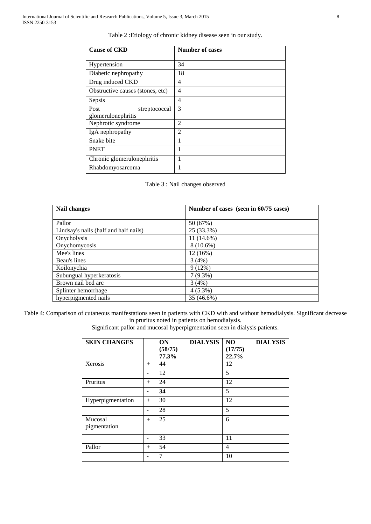| <b>Cause of CKD</b>                      | <b>Number of cases</b> |  |  |
|------------------------------------------|------------------------|--|--|
| Hypertension                             | 34                     |  |  |
| Diabetic nephropathy                     | 18                     |  |  |
| Drug induced CKD                         | 4                      |  |  |
| Obstructive causes (stones, etc)         | 4                      |  |  |
| Sepsis                                   | 4                      |  |  |
| Post<br>streptococcal                    | 3                      |  |  |
| glomerulonephritis<br>Nephrotic syndrome | $\overline{2}$         |  |  |
| IgA nephropathy                          | $\overline{2}$         |  |  |
| Snake bite                               | 1                      |  |  |
| <b>PNET</b>                              |                        |  |  |
| Chronic glomerulonephritis               | 1                      |  |  |
| Rhabdomyosarcoma                         | 1                      |  |  |

| Nail changes                          | Number of cases (seen in 60/75 cases) |  |  |
|---------------------------------------|---------------------------------------|--|--|
|                                       |                                       |  |  |
| Pallor                                | 50 (67%)                              |  |  |
| Lindsay's nails (half and half nails) | 25 (33.3%)                            |  |  |
| Onycholysis                           | $11(14.6\%)$                          |  |  |
| Onychomycosis                         | $8(10.6\%)$                           |  |  |
| Mee's lines                           | 12(16%)                               |  |  |
| Beau's lines                          | 3(4%)                                 |  |  |
| Koilonychia                           | 9(12%)                                |  |  |
| Subungual hyperkeratosis              | $7(9.3\%)$                            |  |  |
| Brown nail bed arc                    | 3(4%)                                 |  |  |
| Splinter hemorrhage                   | $4(5.3\%)$                            |  |  |
| hyperpigmented nails                  | 35 (46.6%)                            |  |  |

Table 4: Comparison of cutaneous manifestations seen in patients with CKD with and without hemodialysis. Significant decrease in pruritus noted in patients on hemodialysis.

Significant pallor and mucosal hyperpigmentation seen in dialysis patients.

| <b>SKIN CHANGES</b>     |     | <b>ON</b><br><b>DIALYSIS</b><br>(58/75)<br>77.3% | NO<br><b>DIALYSIS</b><br>(17/75)<br>22.7% |
|-------------------------|-----|--------------------------------------------------|-------------------------------------------|
| Xerosis                 | $+$ | 44                                               | 12                                        |
|                         |     | 12                                               | 5                                         |
| Pruritus                | $+$ | 24                                               | 12                                        |
|                         |     | 34                                               | 5                                         |
| Hyperpigmentation       | $+$ | 30                                               | 12                                        |
|                         |     | 28                                               | 5                                         |
| Mucosal<br>pigmentation | $+$ | 25                                               | 6                                         |
|                         |     | 33                                               | 11                                        |
| Pallor                  | $+$ | 54                                               | 4                                         |
|                         |     | 7                                                | 10                                        |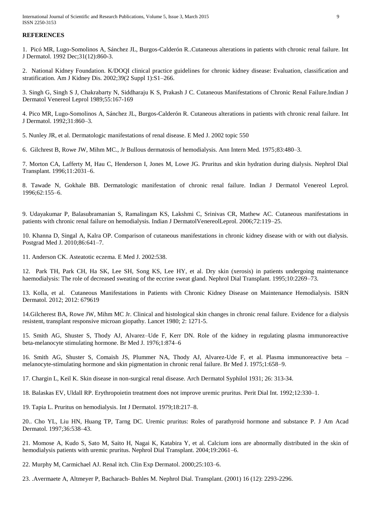International Journal of Scientific and Research Publications, Volume 5, Issue 3, March 2015 9 ISSN 2250-3153

## **REFERENCES**

1. Picó MR, Lugo-Somolinos A, Sánchez JL, Burgos-Calderón R..Cutaneous alterations in patients with chronic renal failure. Int J Dermatol. 1992 Dec;31(12):860-3.

2. National Kidney Foundation. K/DOQI clinical practice guidelines for chronic kidney disease: Evaluation, classification and stratification. Am J Kidney Dis. 2002;39(2 Suppl 1):S1–266.

3. Singh G, Singh S J, Chakrabarty N, Siddharaju K S, Prakash J C. Cutaneous Manifestations of Chronic Renal Failure.Indian J Dermatol Venereol Leprol 1989;55:167-169

4. Pico MR, Lugo-Somolinos A, Sánchez JL, Burgos-Calderón R. Cutaneous alterations in patients with chronic renal failure. Int J Dermatol. 1992;31:860–3.

5. Nunley JR, et al. Dermatologic manifestations of renal disease. E Med J. 2002 topic 550

6. Gilchrest B, Rowe JW, Mihm MC., Jr Bullous dermatosis of hemodialysis. Ann Intern Med. 1975;83:480–3.

7. Morton CA, Lafferty M, Hau C, Henderson I, Jones M, Lowe JG. Pruritus and skin hydration during dialysis. Nephrol Dial Transplant. 1996;11:2031–6.

8. Tawade N, Gokhale BB. Dermatologic manifestation of chronic renal failure. Indian J Dermatol Venereol Leprol. 1996;62:155–6.

9. Udayakumar P, Balasubramanian S, Ramalingam KS, Lakshmi C, Srinivas CR, Mathew AC. Cutaneous manifestations in patients with chronic renal failure on hemodialysis. Indian J DermatolVenereolLeprol. 2006;72:119–25.

10. Khanna D, Singal A, Kalra OP. Comparison of cutaneous manifestations in chronic kidney disease with or with out dialysis. Postgrad Med J. 2010;86:641–7.

11. Anderson CK. Asteatotic eczema. E Med J. 2002:538.

12. Park TH, Park CH, Ha SK, Lee SH, Song KS, Lee HY, et al. Dry skin (xerosis) in patients undergoing maintenance haemodialysis: The role of decreased sweating of the eccrine sweat gland. Nephrol Dial Transplant. 1995;10:2269–73.

13. Kolla, et al. Cutaneous Manifestations in Patients with Chronic Kidney Disease on Maintenance Hemodialysis. ISRN Dermatol. 2012; 2012: 679619

14.Gilcherest BA, Rowe JW, Mihm MC Jr. Clinical and histological skin changes in chronic renal failure. Evidence for a dialysis resistent, transplant responsive microan giopathy. Lancet 1980; 2: 1271-5.

15. Smith AG, Shuster S, Thody AJ, Alvarez–Ude F, Kerr DN. Role of the kidney in regulating plasma immunoreactive beta-melanocyte stimulating hormone. Br Med J. 1976;1:874–6

16. Smith AG, Shuster S, Comaish JS, Plummer NA, Thody AJ, Alvarez-Ude F, et al. Plasma immunoreactive beta – melanocyte-stimulating hormone and skin pigmentation in chronic renal failure. Br Med J. 1975;1:658–9.

17. Chargin L, Keil K. Skin disease in non-surgical renal disease. Arch Dermatol Syphilol 1931; 26: 313-34.

18. Balaskas EV, Uldall RP. Erythropoietin treatment does not improve uremic pruritus. Perit Dial Int. 1992;12:330–1.

19. Tapia L. Pruritus on hemodialysis. Int J Dermatol. 1979;18:217–8.

20.. Cho YL, Liu HN, Huang TP, Tarng DC. Uremic pruritus: Roles of parathyroid hormone and substance P. J Am Acad Dermatol. 1997;36:538–43.

21. Momose A, Kudo S, Sato M, Saito H, Nagai K, Katabira Y, et al. Calcium ions are abnormally distributed in the skin of hemodialysis patients with uremic pruritus. Nephrol Dial Transplant. 2004;19:2061–6.

22. Murphy M, Carmichael AJ. Renal itch. Clin Exp Dermatol. 2000;25:103–6.

23. .Avermaete A, Altmeyer P, Bacharach- Buhles M. Nephrol Dial. Transplant. (2001) 16 (12): 2293-2296.